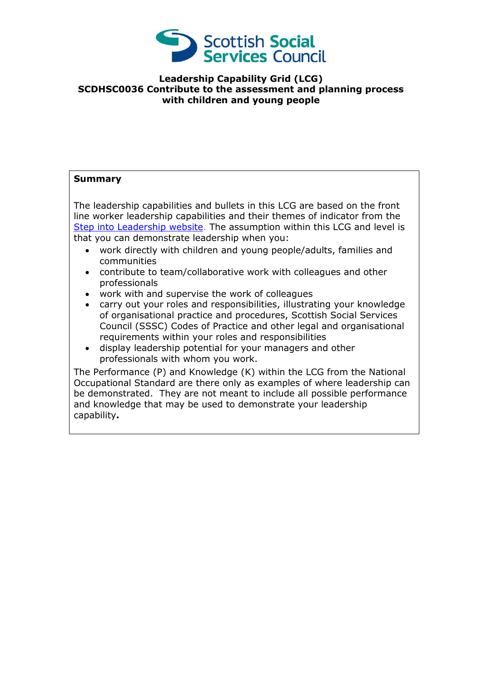

## **Leadership Capability Grid (LCG) SCDHSC0036 Contribute to the assessment and planning process with children and young people**

## **Summary**

The leadership capabilities and bullets in this LCG are based on the front line worker leadership capabilities and their themes of indicator from the [Step into Leadership](http://www.stepintoleadership.info/) website. The assumption within this LCG and level is that you can demonstrate leadership when you:

- work directly with children and young people/adults, families and communities
- contribute to team/collaborative work with colleagues and other professionals
- work with and supervise the work of colleagues
- carry out your roles and responsibilities, illustrating your knowledge of organisational practice and procedures, Scottish Social Services Council (SSSC) Codes of Practice and other legal and organisational requirements within your roles and responsibilities
- display leadership potential for your managers and other professionals with whom you work.

The Performance (P) and Knowledge (K) within the LCG from the National Occupational Standard are there only as examples of where leadership can be demonstrated. They are not meant to include all possible performance and knowledge that may be used to demonstrate your leadership capability**.**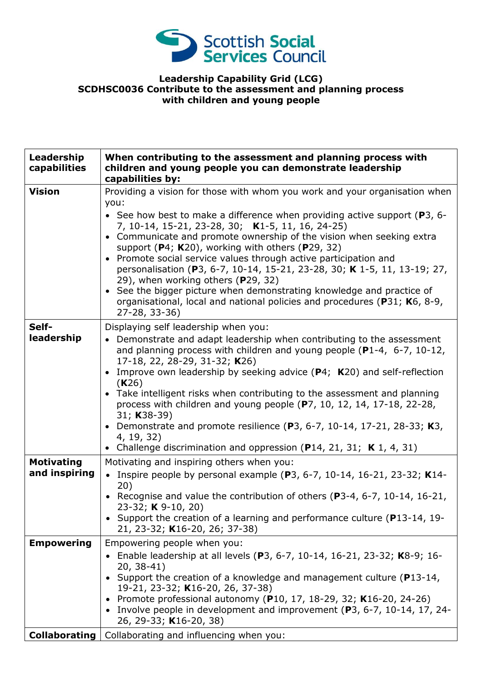

## **Leadership Capability Grid (LCG) SCDHSC0036 Contribute to the assessment and planning process with children and young people**

| Leadership<br>capabilities                              | When contributing to the assessment and planning process with<br>children and young people you can demonstrate leadership<br>capabilities by:                                                                                                                                                                                                                                                                                                                                                                                                                                                                                                                                                                     |
|---------------------------------------------------------|-------------------------------------------------------------------------------------------------------------------------------------------------------------------------------------------------------------------------------------------------------------------------------------------------------------------------------------------------------------------------------------------------------------------------------------------------------------------------------------------------------------------------------------------------------------------------------------------------------------------------------------------------------------------------------------------------------------------|
| <b>Vision</b>                                           | Providing a vision for those with whom you work and your organisation when<br>you:<br>• See how best to make a difference when providing active support (P3, 6-<br>7, 10-14, 15-21, 23-28, 30; K1-5, 11, 16, 24-25)<br>• Communicate and promote ownership of the vision when seeking extra<br>support (P4; K20), working with others (P29, 32)<br>• Promote social service values through active participation and<br>personalisation (P3, 6-7, 10-14, 15-21, 23-28, 30; K 1-5, 11, 13-19; 27,<br>29), when working others (P29, 32)<br>• See the bigger picture when demonstrating knowledge and practice of<br>organisational, local and national policies and procedures (P31; K6, 8-9,<br>$27 - 28, 33 - 36$ |
| Self-<br>leadership                                     | Displaying self leadership when you:<br>Demonstrate and adapt leadership when contributing to the assessment<br>$\bullet$<br>and planning process with children and young people (P1-4, 6-7, 10-12,<br>17-18, 22, 28-29, 31-32; K26)<br>Improve own leadership by seeking advice (P4; K20) and self-reflection<br>(K26)<br>• Take intelligent risks when contributing to the assessment and planning<br>process with children and young people (P7, 10, 12, 14, 17-18, 22-28,<br>31; K38-39)<br>• Demonstrate and promote resilience (P3, 6-7, 10-14, 17-21, 28-33; K3,<br>4, 19, 32)<br>• Challenge discrimination and oppression (P14, 21, 31; K 1, 4, 31)                                                      |
| <b>Motivating</b><br>and inspiring<br><b>Empowering</b> | Motivating and inspiring others when you:<br>• Inspire people by personal example (P3, 6-7, 10-14, 16-21, 23-32; K14-<br>20)<br>• Recognise and value the contribution of others (P3-4, 6-7, 10-14, 16-21,<br>23-32; $K$ 9-10, 20)<br>• Support the creation of a learning and performance culture (P13-14, 19-<br>21, 23-32; K16-20, 26; 37-38)<br>Empowering people when you:                                                                                                                                                                                                                                                                                                                                   |
| <b>Collaborating</b>                                    | Enable leadership at all levels (P3, 6-7, 10-14, 16-21, 23-32; K8-9; 16-<br>$20, 38-41)$<br>Support the creation of a knowledge and management culture (P13-14,<br>19-21, 23-32; K16-20, 26, 37-38)<br>Promote professional autonomy (P10, 17, 18-29, 32; K16-20, 24-26)<br>$\bullet$<br>• Involve people in development and improvement (P3, 6-7, 10-14, 17, 24-<br>26, 29-33; K16-20, 38)<br>Collaborating and influencing when you:                                                                                                                                                                                                                                                                            |